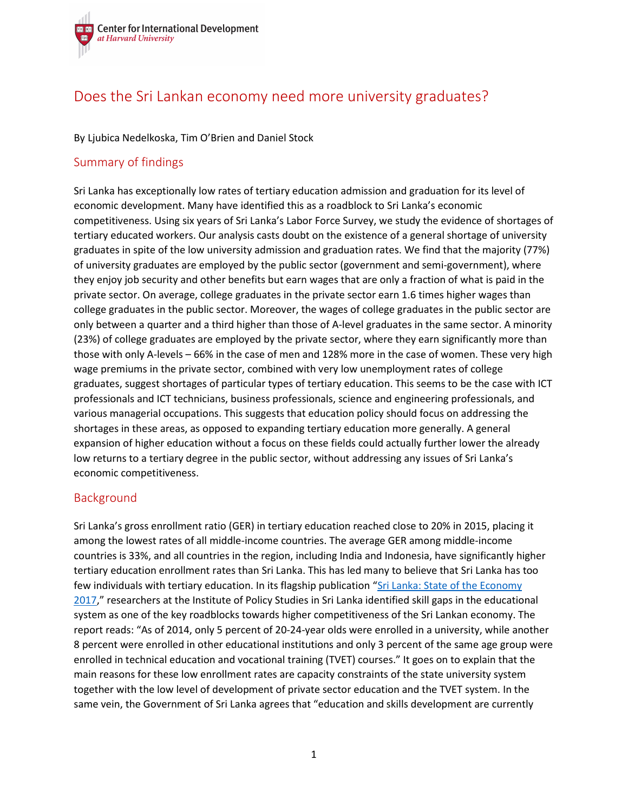

# Does the Sri Lankan economy need more university graduates?

#### By Ljubica Nedelkoska, Tim O'Brien and Daniel Stock

### Summary of findings

Sri Lanka has exceptionally low rates of tertiary education admission and graduation for its level of economic development. Many have identified this as a roadblock to Sri Lanka's economic competitiveness. Using six years of Sri Lanka's Labor Force Survey, we study the evidence of shortages of tertiary educated workers. Our analysis casts doubt on the existence of a general shortage of university graduates in spite of the low university admission and graduation rates. We find that the majority (77%) of university graduates are employed by the public sector (government and semi-government), where they enjoy job security and other benefits but earn wages that are only a fraction of what is paid in the private sector. On average, college graduates in the private sector earn 1.6 times higher wages than college graduates in the public sector. Moreover, the wages of college graduates in the public sector are only between a quarter and a third higher than those of A-level graduates in the same sector. A minority (23%) of college graduates are employed by the private sector, where they earn significantly more than those with only A-levels – 66% in the case of men and 128% more in the case of women. These very high wage premiums in the private sector, combined with very low unemployment rates of college graduates, suggest shortages of particular types of tertiary education. This seems to be the case with ICT professionals and ICT technicians, business professionals, science and engineering professionals, and various managerial occupations. This suggests that education policy should focus on addressing the shortages in these areas, as opposed to expanding tertiary education more generally. A general expansion of higher education without a focus on these fields could actually further lower the already low returns to a tertiary degree in the public sector, without addressing any issues of Sri Lanka's economic competitiveness.

### Background

Sri Lanka's gross enrollment ratio (GER) in tertiary education reached close to 20% in 2015, placing it among the lowest rates of all middle-income countries. The average GER among middle-income countries is 33%, and all countries in the region, including India and Indonesia, have significantly higher tertiary education enrollment rates than Sri Lanka. This has led many to believe that Sri Lanka has too few individuals with tertiary education. In its flagship publication "Sri Lanka: State of the Economy [2017,](http://www.ips.lk/publication-title-sri-lanka-state-economy-2017/)" researchers at the Institute of Policy Studies in Sri Lanka identified skill gaps in the educational system as one of the key roadblocks towards higher competitiveness of the Sri Lankan economy. The report reads: "As of 2014, only 5 percent of 20-24-year olds were enrolled in a university, while another 8 percent were enrolled in other educational institutions and only 3 percent of the same age group were enrolled in technical education and vocational training (TVET) courses." It goes on to explain that the main reasons for these low enrollment rates are capacity constraints of the state university system together with the low level of development of private sector education and the TVET system. In the same vein, the Government of Sri Lanka agrees that "education and skills development are currently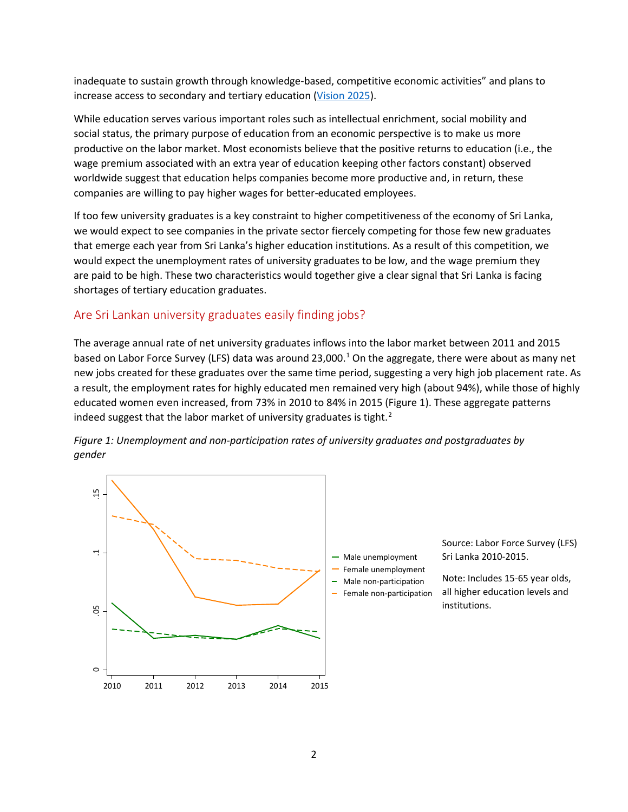inadequate to sustain growth through knowledge-based, competitive economic activities" and plans to increase access to secondary and tertiary education [\(Vision 2025\)](http://www.pmoffice.gov.lk/download/press/D00000000061_EN.pdf).

While education serves various important roles such as intellectual enrichment, social mobility and social status, the primary purpose of education from an economic perspective is to make us more productive on the labor market. Most economists believe that the positive returns to education (i.e., the wage premium associated with an extra year of education keeping other factors constant) observed worldwide suggest that education helps companies become more productive and, in return, these companies are willing to pay higher wages for better-educated employees.

If too few university graduates is a key constraint to higher competitiveness of the economy of Sri Lanka, we would expect to see companies in the private sector fiercely competing for those few new graduates that emerge each year from Sri Lanka's higher education institutions. As a result of this competition, we would expect the unemployment rates of university graduates to be low, and the wage premium they are paid to be high. These two characteristics would together give a clear signal that Sri Lanka is facing shortages of tertiary education graduates.

# Are Sri Lankan university graduates easily finding jobs?

The average annual rate of net university graduates inflows into the labor market between 2011 and 2015 based on Labor Force Survey (LFS) data was around 23,000.<sup>[1](#page-4-0)</sup> On the aggregate, there were about as many net new jobs created for these graduates over the same time period, suggesting a very high job placement rate. As a result, the employment rates for highly educated men remained very high (about 94%), while those of highly educated women even increased, from 73% in 2010 to 84% in 2015 (Figure 1). These aggregate patterns indeed suggest that the labor market of university graduates is tight.<sup>[2](#page-4-1)</sup>



*Figure 1: Unemployment and non-participation rates of university graduates and postgraduates by gender*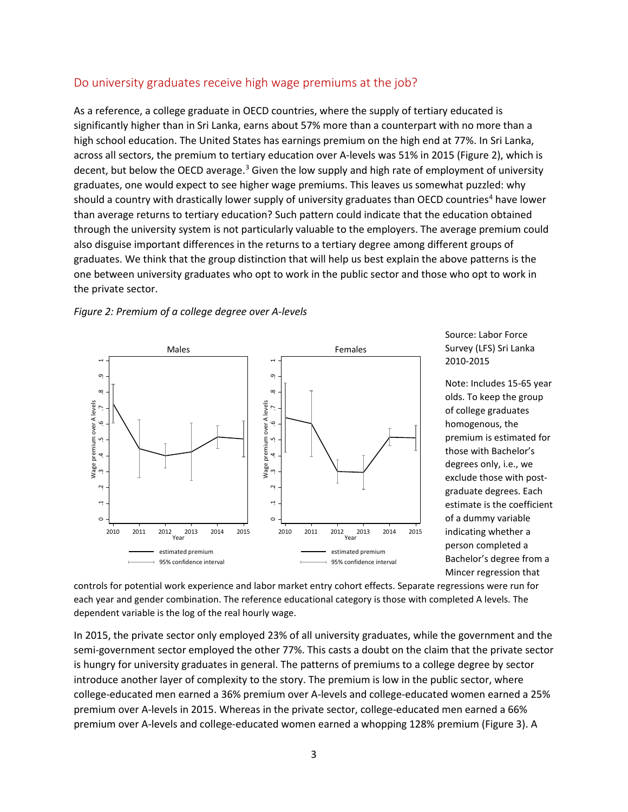### Do university graduates receive high wage premiums at the job?

As a reference, a college graduate in OECD countries, where the supply of tertiary educated is significantly higher than in Sri Lanka, earns about 57% more than a counterpart with no more than a high school education. The United States has earnings premium on the high end at 77%. In Sri Lanka, across all sectors, the premium to tertiary education over A-levels was 51% in 2015 (Figure 2), which is decent, but below the OECD average.<sup>[3](#page-4-2)</sup> Given the low supply and high rate of employment of university graduates, one would expect to see higher wage premiums. This leaves us somewhat puzzled: why should a country with drastically lower supply of university graduates than OECD countries<sup>[4](#page-4-3)</sup> have lower than average returns to tertiary education? Such pattern could indicate that the education obtained through the university system is not particularly valuable to the employers. The average premium could also disguise important differences in the returns to a tertiary degree among different groups of graduates. We think that the group distinction that will help us best explain the above patterns is the one between university graduates who opt to work in the public sector and those who opt to work in the private sector.





Source: Labor Force Survey (LFS) Sri Lanka 2010-2015

Note: Includes 15-65 year olds. To keep the group of college graduates homogenous, the premium is estimated for those with Bachelor's degrees only, i.e., we exclude those with postgraduate degrees. Each estimate is the coefficient of a dummy variable indicating whether a person completed a Bachelor's degree from a Mincer regression that

controls for potential work experience and labor market entry cohort effects. Separate regressions were run for each year and gender combination. The reference educational category is those with completed A levels. The dependent variable is the log of the real hourly wage.

In 2015, the private sector only employed 23% of all university graduates, while the government and the semi-government sector employed the other 77%. This casts a doubt on the claim that the private sector is hungry for university graduates in general. The patterns of premiums to a college degree by sector introduce another layer of complexity to the story. The premium is low in the public sector, where college-educated men earned a 36% premium over A-levels and college-educated women earned a 25% premium over A-levels in 2015. Whereas in the private sector, college-educated men earned a 66% premium over A-levels and college-educated women earned a whopping 128% premium (Figure 3). A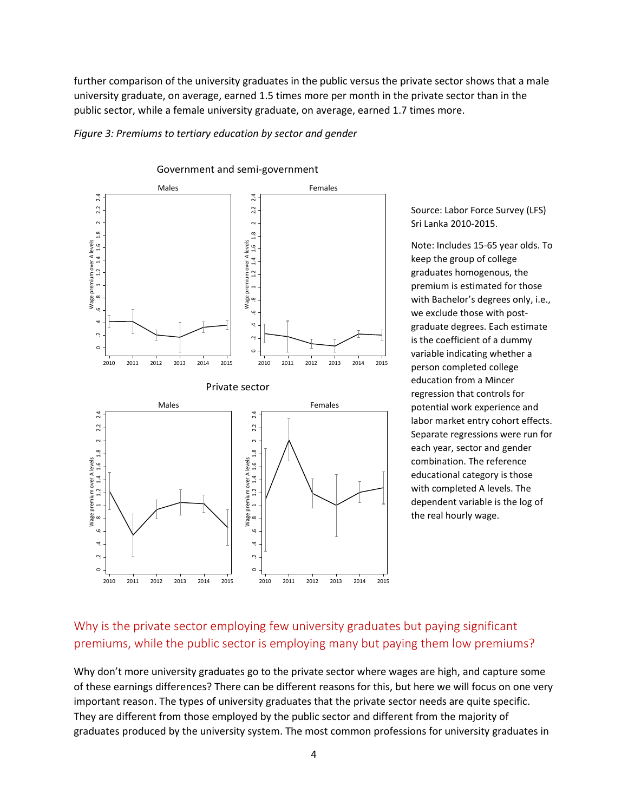further comparison of the university graduates in the public versus the private sector shows that a male university graduate, on average, earned 1.5 times more per month in the private sector than in the public sector, while a female university graduate, on average, earned 1.7 times more.

*Figure 3: Premiums to tertiary education by sector and gender*



Source: Labor Force Survey (LFS) Sri Lanka 2010-2015.

Note: Includes 15-65 year olds. To keep the group of college graduates homogenous, the premium is estimated for those with Bachelor's degrees only, i.e., we exclude those with postgraduate degrees. Each estimate is the coefficient of a dummy variable indicating whether a person completed college education from a Mincer regression that controls for potential work experience and labor market entry cohort effects. Separate regressions were run for each year, sector and gender combination. The reference educational category is those with completed A levels. The dependent variable is the log of the real hourly wage.

# Why is the private sector employing few university graduates but paying significant premiums, while the public sector is employing many but paying them low premiums?

Why don't more university graduates go to the private sector where wages are high, and capture some of these earnings differences? There can be different reasons for this, but here we will focus on one very important reason. The types of university graduates that the private sector needs are quite specific. They are different from those employed by the public sector and different from the majority of graduates produced by the university system. The most common professions for university graduates in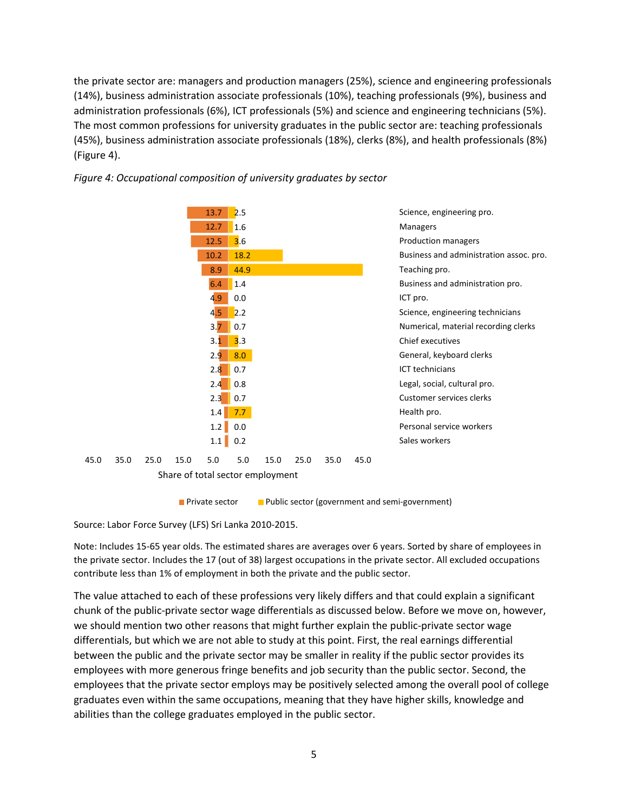the private sector are: managers and production managers (25%), science and engineering professionals (14%), business administration associate professionals (10%), teaching professionals (9%), business and administration professionals (6%), ICT professionals (5%) and science and engineering technicians (5%). The most common professions for university graduates in the public sector are: teaching professionals (45%), business administration associate professionals (18%), clerks (8%), and health professionals (8%) (Figure 4).



#### *Figure 4: Occupational composition of university graduates by sector*

**Private sector** Public sector (government and semi-government)

<span id="page-4-2"></span><span id="page-4-1"></span><span id="page-4-0"></span>Source: Labor Force Survey (LFS) Sri Lanka 2010-2015.

Note: Includes 15-65 year olds. The estimated shares are averages over 6 years. Sorted by share of employees in the private sector. Includes the 17 (out of 38) largest occupations in the private sector. All excluded occupations contribute less than 1% of employment in both the private and the public sector.

<span id="page-4-3"></span>The value attached to each of these professions very likely differs and that could explain a significant chunk of the public-private sector wage differentials as discussed below. Before we move on, however, we should mention two other reasons that might further explain the public-private sector wage differentials, but which we are not able to study at this point. First, the real earnings differential between the public and the private sector may be smaller in reality if the public sector provides its employees with more generous fringe benefits and job security than the public sector. Second, the employees that the private sector employs may be positively selected among the overall pool of college graduates even within the same occupations, meaning that they have higher skills, knowledge and abilities than the college graduates employed in the public sector.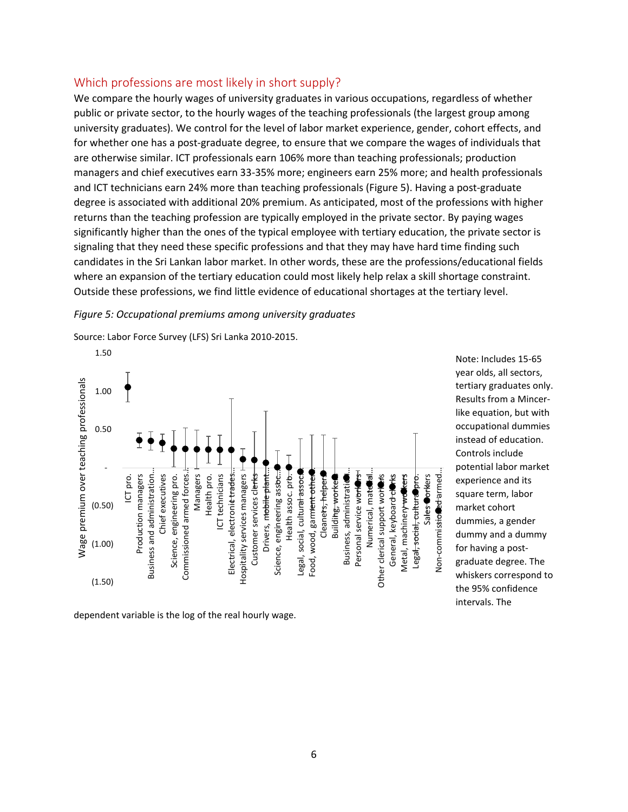#### Which professions are most likely in short supply?

We compare the hourly wages of university graduates in various occupations, regardless of whether public or private sector, to the hourly wages of the teaching professionals (the largest group among university graduates). We control for the level of labor market experience, gender, cohort effects, and for whether one has a post-graduate degree, to ensure that we compare the wages of individuals that are otherwise similar. ICT professionals earn 106% more than teaching professionals; production managers and chief executives earn 33-35% more; engineers earn 25% more; and health professionals and ICT technicians earn 24% more than teaching professionals (Figure 5). Having a post-graduate degree is associated with additional 20% premium. As anticipated, most of the professions with higher returns than the teaching profession are typically employed in the private sector. By paying wages significantly higher than the ones of the typical employee with tertiary education, the private sector is signaling that they need these specific professions and that they may have hard time finding such candidates in the Sri Lankan labor market. In other words, these are the professions/educational fields where an expansion of the tertiary education could most likely help relax a skill shortage constraint. Outside these professions, we find little evidence of educational shortages at the tertiary level.

#### *Figure 5: Occupational premiums among university graduates*



Source: Labor Force Survey (LFS) Sri Lanka 2010-2015.

dependent variable is the log of the real hourly wage.

Note: Includes 15-65 year olds, all sectors, tertiary graduates only. Results from a Mincerlike equation, but with occupational dummies instead of education. Controls include potential labor market experience and its square term, labor market cohort dummies, a gender dummy and a dummy for having a postgraduate degree. The whiskers correspond to the 95% confidence intervals. The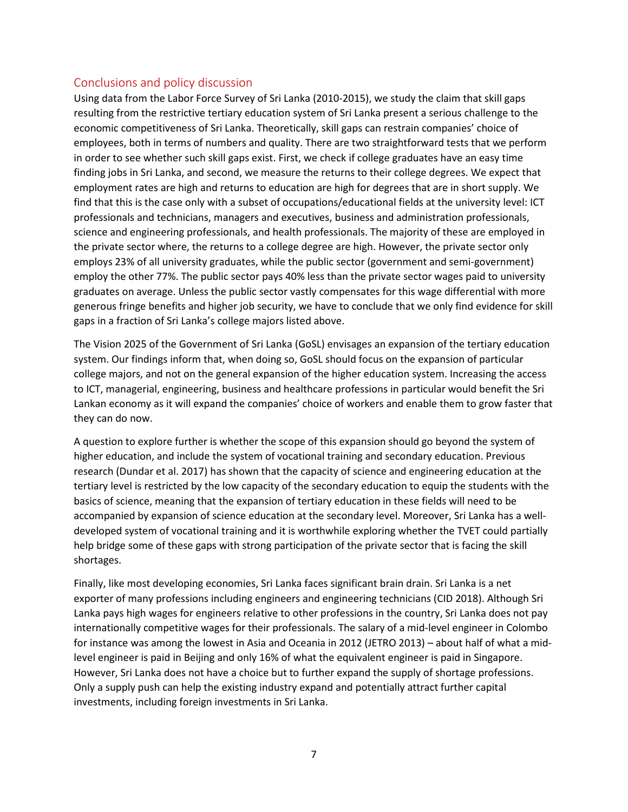### Conclusions and policy discussion

Using data from the Labor Force Survey of Sri Lanka (2010-2015), we study the claim that skill gaps resulting from the restrictive tertiary education system of Sri Lanka present a serious challenge to the economic competitiveness of Sri Lanka. Theoretically, skill gaps can restrain companies' choice of employees, both in terms of numbers and quality. There are two straightforward tests that we perform in order to see whether such skill gaps exist. First, we check if college graduates have an easy time finding jobs in Sri Lanka, and second, we measure the returns to their college degrees. We expect that employment rates are high and returns to education are high for degrees that are in short supply. We find that this is the case only with a subset of occupations/educational fields at the university level: ICT professionals and technicians, managers and executives, business and administration professionals, science and engineering professionals, and health professionals. The majority of these are employed in the private sector where, the returns to a college degree are high. However, the private sector only employs 23% of all university graduates, while the public sector (government and semi-government) employ the other 77%. The public sector pays 40% less than the private sector wages paid to university graduates on average. Unless the public sector vastly compensates for this wage differential with more generous fringe benefits and higher job security, we have to conclude that we only find evidence for skill gaps in a fraction of Sri Lanka's college majors listed above.

The Vision 2025 of the Government of Sri Lanka (GoSL) envisages an expansion of the tertiary education system. Our findings inform that, when doing so, GoSL should focus on the expansion of particular college majors, and not on the general expansion of the higher education system. Increasing the access to ICT, managerial, engineering, business and healthcare professions in particular would benefit the Sri Lankan economy as it will expand the companies' choice of workers and enable them to grow faster that they can do now.

A question to explore further is whether the scope of this expansion should go beyond the system of higher education, and include the system of vocational training and secondary education. Previous research (Dundar et al. 2017) has shown that the capacity of science and engineering education at the tertiary level is restricted by the low capacity of the secondary education to equip the students with the basics of science, meaning that the expansion of tertiary education in these fields will need to be accompanied by expansion of science education at the secondary level. Moreover, Sri Lanka has a welldeveloped system of vocational training and it is worthwhile exploring whether the TVET could partially help bridge some of these gaps with strong participation of the private sector that is facing the skill shortages.

Finally, like most developing economies, Sri Lanka faces significant brain drain. Sri Lanka is a net exporter of many professions including engineers and engineering technicians (CID 2018). Although Sri Lanka pays high wages for engineers relative to other professions in the country, Sri Lanka does not pay internationally competitive wages for their professionals. The salary of a mid-level engineer in Colombo for instance was among the lowest in Asia and Oceania in 2012 (JETRO 2013) – about half of what a midlevel engineer is paid in Beijing and only 16% of what the equivalent engineer is paid in Singapore. However, Sri Lanka does not have a choice but to further expand the supply of shortage professions. Only a supply push can help the existing industry expand and potentially attract further capital investments, including foreign investments in Sri Lanka.